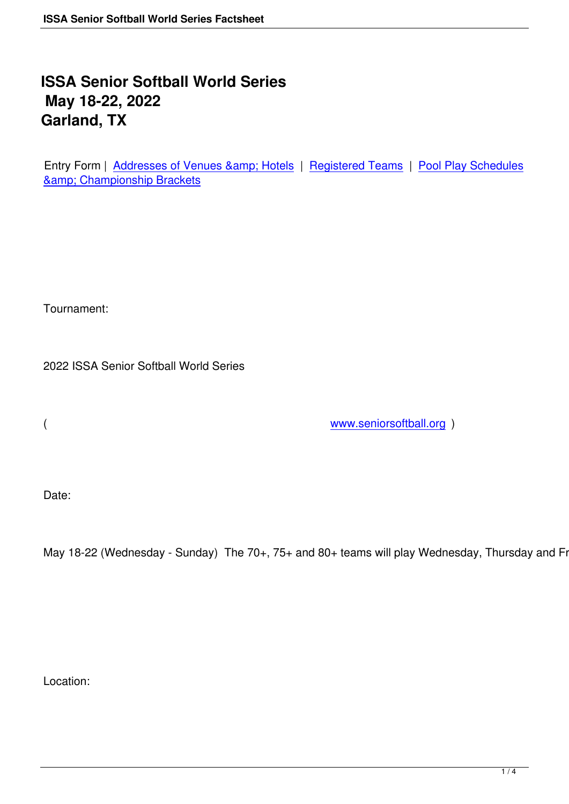## **ISSA Senior Softball World Series May 18-22, 2022 Garland, TX**

Entry Form | Addresses of Venues & amp; Hotels | Registered Teams | Pool Play Schedules **&amp**; Championship Brackets

Tournament:

2022 ISSA Senior Softball World Series

( www.seniorsoftball.org )

Date:

May 18-22 (Wednesday - Sunday) The 70+, 75+ and 80+ teams will play Wednesday, Thursday and Frida

Location: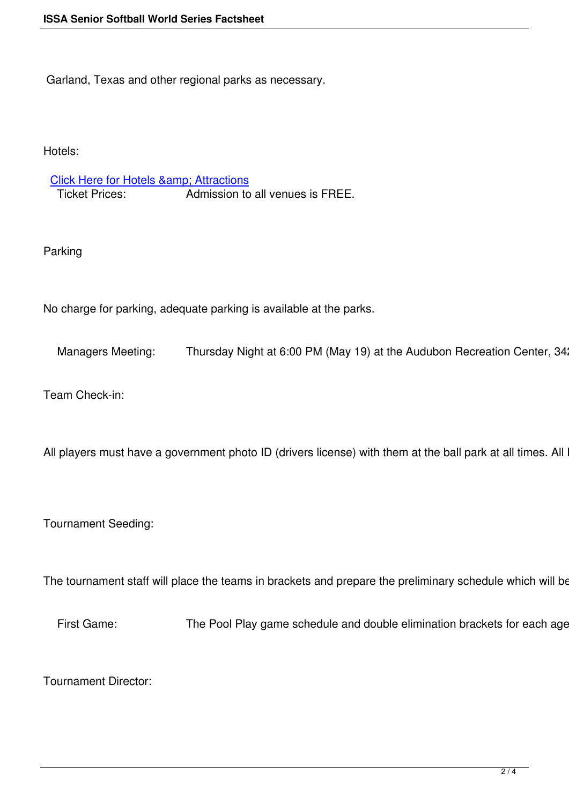Garland, Texas and other regional parks as necessary.

Hotels:

## Click Here for Hotels & Attractions

Ticket Prices: Admission to all venues is FREE.

Parking

No charge for parking, adequate parking is available at the parks.

Managers Meeting: Thursday Night at 6:00 PM (May 19) at the Audubon Recreation Center, 342 W.

Team Check-in:

All players must have a government photo ID (drivers license) with them at the ball park at all times. All Mai

Tournament Seeding:

The tournament staff will place the teams in brackets and prepare the preliminary schedule which will be po

First Game: The Pool Play game schedule and double elimination brackets for each age classifications will be posted on the Final and the Final and Kush and T

Tournament Director: